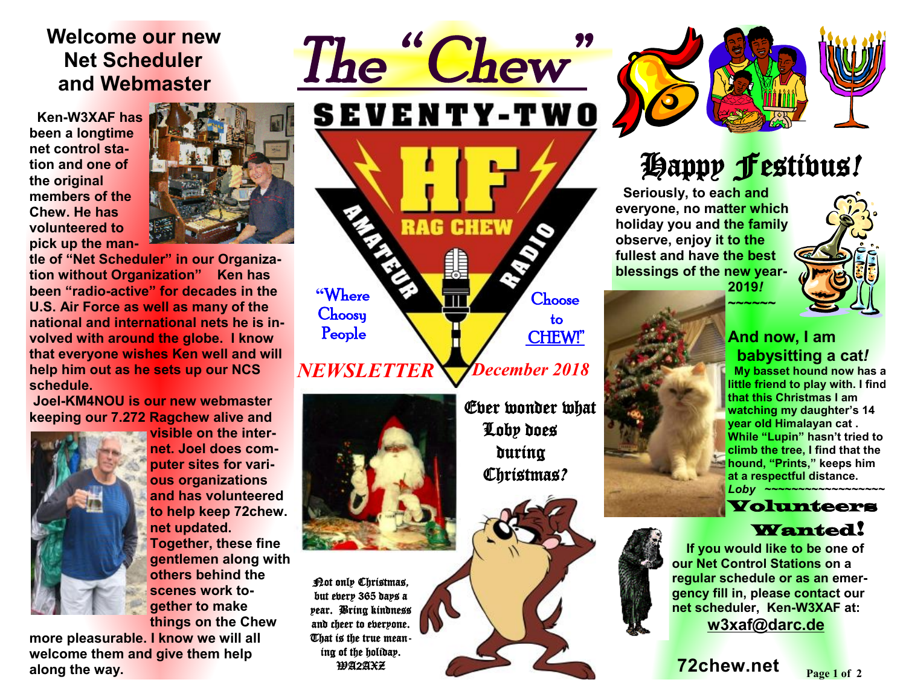#### **Welcome our new Net Scheduler and Webmaster**

 **Ken-W3XAF has been a longtime net control station and one of the original members of the Chew. He has volunteered to pick up the man-**



**tle of "Net Scheduler" in our Organization without Organization" Ken has been "radio-active" for decades in the U.S. Air Force as well as many of the national and international nets he is involved with around the globe. I know that everyone wishes Ken well and will help him out as he sets up our NCS schedule.** 

**Joel-KM4NOU is our new webmaster keeping our 7.272 Ragchew alive and** 



**visible on the internet. Joel does computer sites for various organizations and has volunteered to help keep 72chew. net updated. Together, these fine gentlemen along with others behind the scenes work together to make things on the Chew** 

**more pleasurable. I know we will all welcome them and give them help along the way.** 

*The " Chew"*  **SEVENTY-TWO RAG CHEW "**Where **Choose Choosy**  to People CHEW!"

*December 2018 NEWSLETTER* 

Ever wonder what

 Loby does during Christmas*?*



Not only Christmas, but every 365 days a year. Bring kindness and cheer to everyone. That is the true meaning of the holiday. WA2AXZ





# Happy Festivus*!*

**2019***!* **~~~~~~** 

 **Seriously, to each and everyone, no matter which holiday you and the family observe, enjoy it to the fullest and have the best blessings of the new year-**



**And now, I am babysitting a cat***!*

 **My basset hound now has a little friend to play with. I find that this Christmas I am watching my daughter's 14 year old Himalayan cat . While "Lupin" hasn't tried to climb the tree, I find that the hound, "Prints," keeps him at a respectful distance.**  *Loby* **~~~~~~~~~~~~~~~~~~**

Volunteers

#### Wanted!

 **If you would like to be one of our Net Control Stations on a regular schedule or as an emergency fill in, please contact our net scheduler, Ken-W3XAF at: [w3xaf@darc.de](mailto:w3xaf@darc.de)** 

**Page <sup>1</sup> of 2 72chew.net**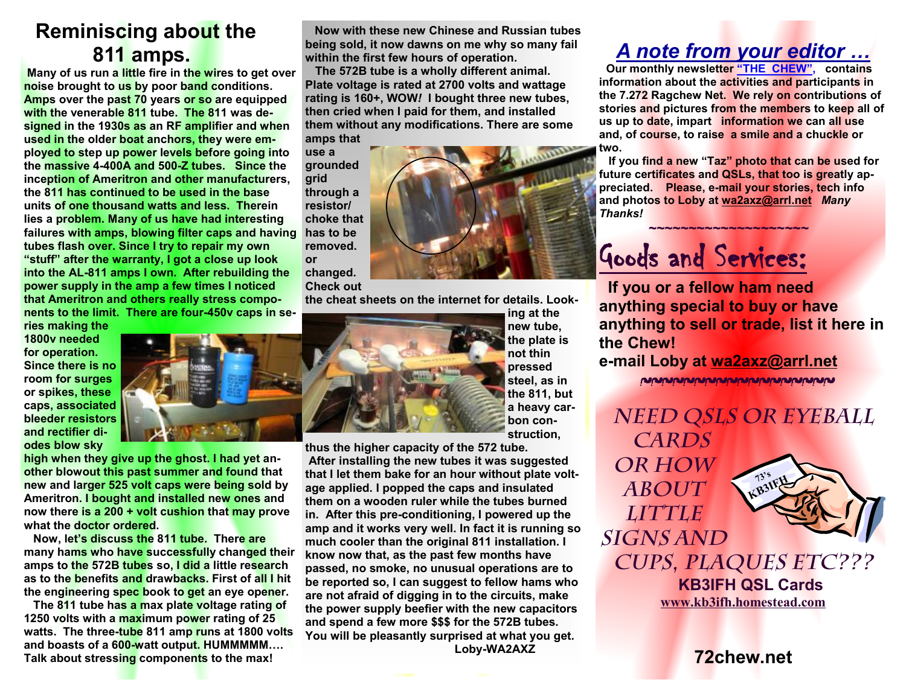#### **Reminiscing about the 811 amps.**

**Many of us run a little fire in the wires to get over noise brought to us by poor band conditions. Amps over the past 70 years or so are equipped with the venerable 811 tube. The 811 was designed in the 1930s as an RF amplifier and when used in the older boat anchors, they were employed to step up power levels before going into the massive 4-400A and 500-Z tubes. Since the inception of Ameritron and other manufacturers, the 811 has continued to be used in the base units of one thousand watts and less. Therein lies a problem. Many of us have had interesting failures with amps, blowing filter caps and having has to be tubes flash over. Since I try to repair my own "stuff" after the warranty, I got a close up look into the AL-811 amps I own. After rebuilding the power supply in the amp a few times I noticed that Ameritron and others really stress components to the limit. There are four-450v caps in se-**

**ries making the 1800v needed for operation. Since there is no room for surges or spikes, these caps, associated bleeder resistors and rectifier diodes blow sky** 

**high when they give up the ghost. I had yet another blowout this past summer and found that new and larger 525 volt caps were being sold by Ameritron. I bought and installed new ones and now there is a 200 + volt cushion that may prove what the doctor ordered.** 

 **Now, let's discuss the 811 tube. There are many hams who have successfully changed their amps to the 572B tubes so, I did a little research as to the benefits and drawbacks. First of all I hit the engineering spec book to get an eye opener.** 

 **The 811 tube has a max plate voltage rating of 1250 volts with a maximum power rating of 25 watts. The three-tube 811 amp runs at 1800 volts and boasts of a 600-watt output. HUMMMMM…. Talk about stressing components to the max!** 

 **Now with these new Chinese and Russian tubes being sold, it now dawns on me why so many fail within the first few hours of operation.** 

 **The 572B tube is a wholly different animal. Plate voltage is rated at 2700 volts and wattage rating is 160+, WOW***!* **I bought three new tubes, then cried when I paid for them, and installed them without any modifications. There are some amps that** 

**use a grounded grid through a resistor/ choke that removed. or changed. Check out** 



**the cheat sheets on the internet for details. Look-**

**ing at the new tube, the plate is not thin pressed steel, as in the 811, but a heavy carbon construction,** 

**thus the higher capacity of the 572 tube. After installing the new tubes it was suggested that I let them bake for an hour without plate voltage applied. I popped the caps and insulated them on a wooden ruler while the tubes burned in. After this pre-conditioning, I powered up the amp and it works very well. In fact it is running so much cooler than the original 811 installation. I know now that, as the past few months have passed, no smoke, no unusual operations are to be reported so, I can suggest to fellow hams who are not afraid of digging in to the circuits, make the power supply beefier with the new capacitors and spend a few more \$\$\$ for the 572B tubes. You will be pleasantly surprised at what you get.** 

 **Loby-WA2AXZ**

#### *A note from your editor …*

 **Our monthly newsletter "THE CHEW", contains information about the activities and participants in the 7.272 Ragchew Net. We rely on contributions of stories and pictures from the members to keep all of us up to date, impart information we can all use and, of course, to raise a smile and a chuckle or two.** 

 **If you find a new "Taz" photo that can be used for future certificates and QSLs, that too is greatly appreciated. Please, e-mail your stories, tech info and photos to Loby at [wa2axz@arrl.net](mailto:wa2axz@arrl.net)** *Many Thanks!*   **~~~~~~~~~~~~~~~~~~~~**

## Goods and Services:

**If you or a fellow ham need anything special to buy or have anything to sell or trade, list it here in the Chew!** 

#### **e-mail Loby at [wa2axz@arrl.net](mailto:wa2axz@arrl.net)**

~~~~~~~~~~~~~~~~~~~

*Need QSLs or Eyeball Cards or how about little signs and*  **73's KB3IFH**



*cups, plaques etc???*   **KB3IFH QSL Cards [www.kb3ifh.homestead.com](http://www.kb3ifh.homestead.com)**   $\frac{1}{\sqrt{2}}$ 

**72chew.net**